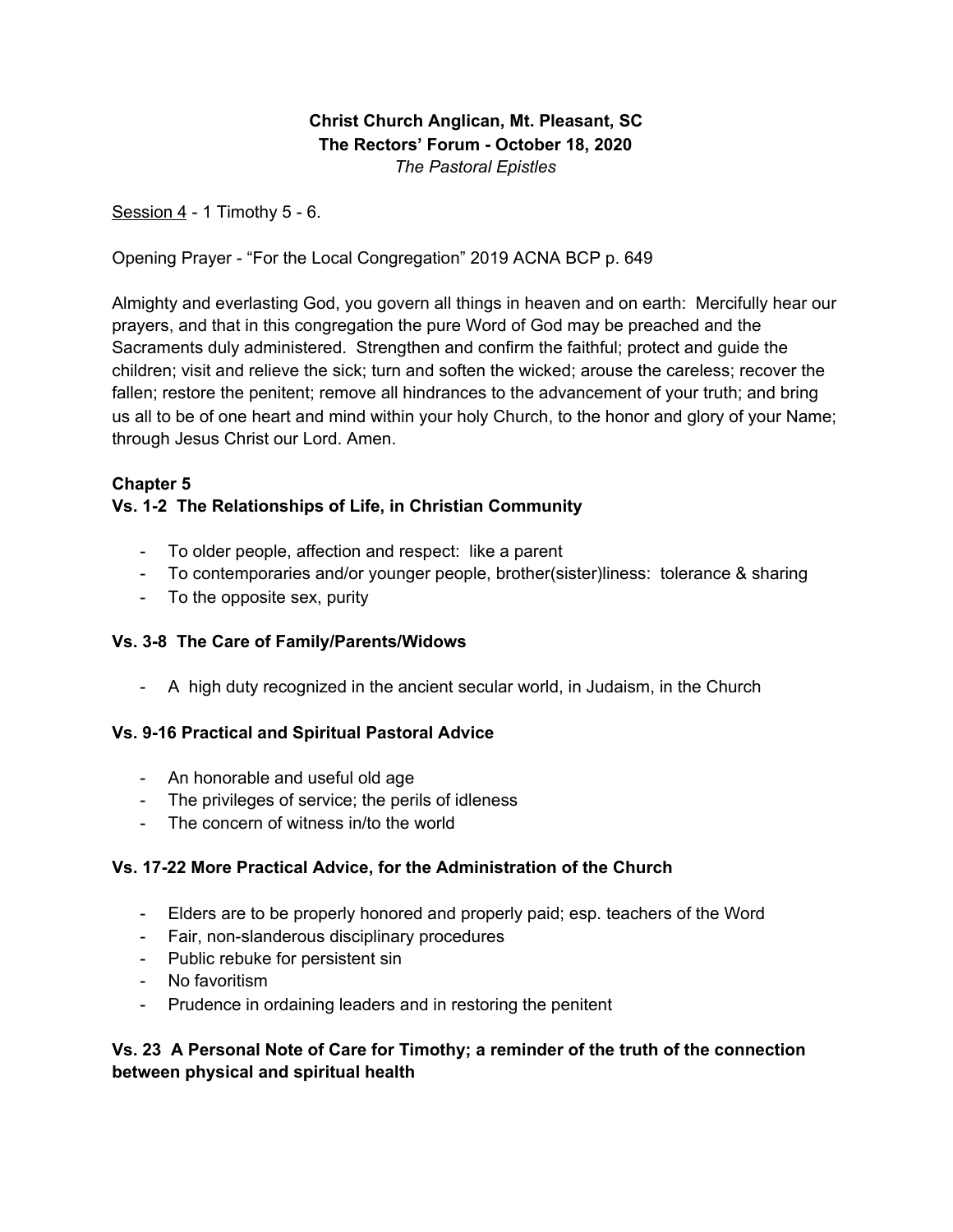## **Christ Church Anglican, Mt. Pleasant, SC The Rectors' Forum - October 18, 2020** *The Pastoral Epistles*

Session  $4 - 1$  Timothy  $5 - 6$ .

Opening Prayer - "For the Local Congregation" 2019 ACNA BCP p. 649

Almighty and everlasting God, you govern all things in heaven and on earth: Mercifully hear our prayers, and that in this congregation the pure Word of God may be preached and the Sacraments duly administered. Strengthen and confirm the faithful; protect and guide the children; visit and relieve the sick; turn and soften the wicked; arouse the careless; recover the fallen; restore the penitent; remove all hindrances to the advancement of your truth; and bring us all to be of one heart and mind within your holy Church, to the honor and glory of your Name; through Jesus Christ our Lord. Amen.

### **Chapter 5**

### **Vs. 1-2 The Relationships of Life, in Christian Community**

- To older people, affection and respect: like a parent
- To contemporaries and/or younger people, brother(sister)liness: tolerance & sharing
- To the opposite sex, purity

#### **Vs. 3-8 The Care of Family/Parents/Widows**

- A high duty recognized in the ancient secular world, in Judaism, in the Church

#### **Vs. 9-16 Practical and Spiritual Pastoral Advice**

- An honorable and useful old age
- The privileges of service; the perils of idleness
- The concern of witness in/to the world

#### **Vs. 17-22 More Practical Advice, for the Administration of the Church**

- Elders are to be properly honored and properly paid; esp. teachers of the Word
- Fair, non-slanderous disciplinary procedures
- Public rebuke for persistent sin
- No favoritism
- Prudence in ordaining leaders and in restoring the penitent

#### **Vs. 23 A Personal Note of Care for Timothy; a reminder of the truth of the connection between physical and spiritual health**